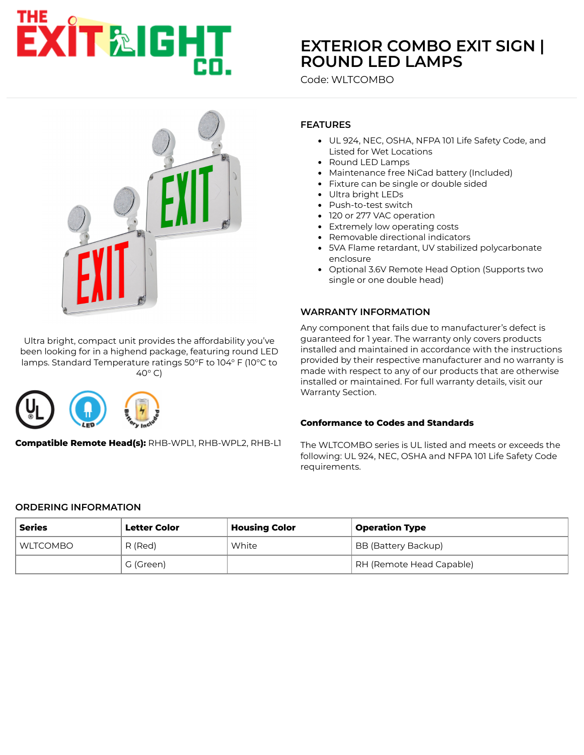# **EXIT&IGHT**

# **[EXTERIOR COMBO EXIT SIGN |](https://www.exitlightco.com/category/Exit-Signs-and-Emergency-Lights-for-Wet-Locations.html) ROUND LED LAMPS**

Code: WLTCOMBO



Ultra bright, compact unit provides the affordability you've been looking for in a highend package, featuring round LED lamps. Standard Temperature ratings 50°F to 104° F (10°C to 40° C)



**Compatible Remote Head(s):** RHB-WPL1, RHB-WPL2, RHB-L1

## **FEATURES**

- UL 924, NEC, OSHA, NFPA 101 Life Safety Code, and Listed for Wet Locations
- Round LED Lamps
- Maintenance free NiCad battery (Included)
- Fixture can be single or double sided
- Ultra bright LEDs
- Push-to-test switch
- 120 or 277 VAC operation
- Extremely low operating costs
- Removable directional indicators
- 5VA Flame retardant, UV stabilized polycarbonate enclosure
- Optional 3.6V Remote Head Option (Supports two single or one double head)

#### **WARRANTY INFORMATION**

Any component that fails due to manufacturer's defect is guaranteed for 1 year. The warranty only covers products installed and maintained in accordance with the instructions provided by their respective manufacturer and no warranty is made with respect to any of our products that are otherwise installed or maintained. For full warranty details, visit our Warranty Section.

#### **Conformance to Codes and Standards**

The WLTCOMBO series is UL listed and meets or exceeds the following: UL 924, NEC, OSHA and NFPA 101 Life Safety Code requirements.

#### **ORDERING INFORMATION**

| Series     | <b>Letter Color</b> | <b>Housing Color</b> | <b>Operation Type</b>    |
|------------|---------------------|----------------------|--------------------------|
| I WLTCOMBO | R (Red)             | White                | BB (Battery Backup)      |
|            | G (Green)           |                      | RH (Remote Head Capable) |